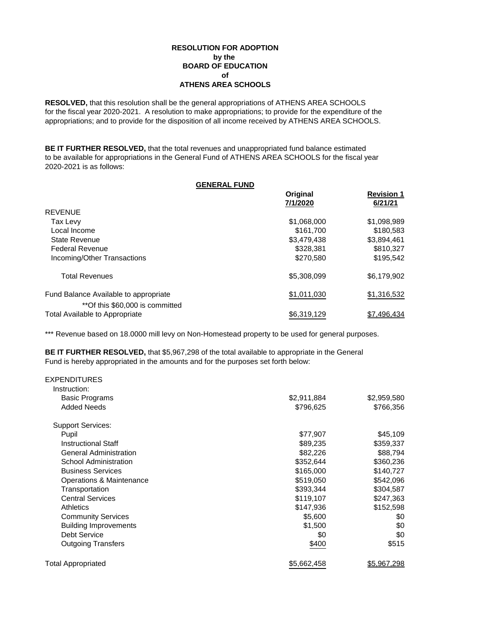## **RESOLUTION FOR ADOPTION by the BOARD OF EDUCATION of ATHENS AREA SCHOOLS**

**RESOLVED,** that this resolution shall be the general appropriations of ATHENS AREA SCHOOLS for the fiscal year 2020-2021. A resolution to make appropriations; to provide for the expenditure of the appropriations; and to provide for the disposition of all income received by ATHENS AREA SCHOOLS.

**BE IT FURTHER RESOLVED,** that the total revenues and unappropriated fund balance estimated to be available for appropriations in the General Fund of ATHENS AREA SCHOOLS for the fiscal year 2020-2021 is as follows:

| <b>GENERAL FUND</b>                                               |                      |                              |
|-------------------------------------------------------------------|----------------------|------------------------------|
|                                                                   | Original<br>7/1/2020 | <b>Revision 1</b><br>6/21/21 |
| REVENUE                                                           |                      |                              |
| Tax Levy                                                          | \$1,068,000          | \$1,098,989                  |
| Local Income                                                      | \$161,700            | \$180,583                    |
| State Revenue                                                     | \$3.479.438          | \$3,894,461                  |
| <b>Federal Revenue</b>                                            | \$328,381            | \$810,327                    |
| Incoming/Other Transactions                                       | \$270,580            | \$195.542                    |
| <b>Total Revenues</b>                                             | \$5,308,099          | \$6,179,902                  |
| Fund Balance Available to appropriate                             | \$1,011,030          | \$1,316,532                  |
| **Of this \$60,000 is committed<br>Total Available to Appropriate | \$6,319,129          | \$7,496,434                  |

\*\*\* Revenue based on 18.0000 mill levy on Non-Homestead property to be used for general purposes.

**BE IT FURTHER RESOLVED,** that \$5,967,298 of the total available to appropriate in the General Fund is hereby appropriated in the amounts and for the purposes set forth below:

| <b>EXPENDITURES</b>           |             |                    |
|-------------------------------|-------------|--------------------|
| Instruction:                  |             |                    |
| <b>Basic Programs</b>         | \$2,911,884 | \$2,959,580        |
| <b>Added Needs</b>            | \$796,625   | \$766,356          |
| <b>Support Services:</b>      |             |                    |
| Pupil                         | \$77,907    | \$45,109           |
| <b>Instructional Staff</b>    | \$89,235    | \$359,337          |
| <b>General Administration</b> | \$82,226    | \$88,794           |
| School Administration         | \$352,644   | \$360,236          |
| <b>Business Services</b>      | \$165,000   | \$140,727          |
| Operations & Maintenance      | \$519,050   | \$542,096          |
| Transportation                | \$393,344   | \$304,587          |
| <b>Central Services</b>       | \$119,107   | \$247,363          |
| <b>Athletics</b>              | \$147,936   | \$152,598          |
| <b>Community Services</b>     | \$5,600     | \$0                |
| <b>Building Improvements</b>  | \$1,500     | \$0                |
| Debt Service                  | \$0         | \$0                |
| <b>Outgoing Transfers</b>     | \$400       | \$515              |
| <b>Total Appropriated</b>     | \$5,662,458 | <u>\$5,967,298</u> |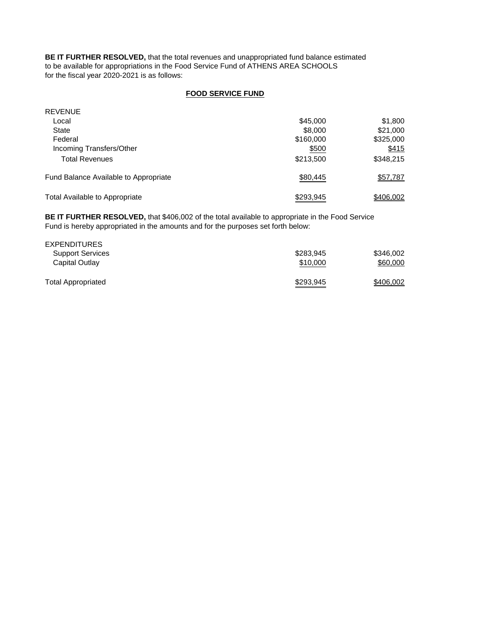**BE IT FURTHER RESOLVED,** that the total revenues and unappropriated fund balance estimated to be available for appropriations in the Food Service Fund of ATHENS AREA SCHOOLS for the fiscal year 2020-2021 is as follows:

## **FOOD SERVICE FUND**

| <b>REVENUE</b>                        |           |           |
|---------------------------------------|-----------|-----------|
| Local                                 | \$45,000  | \$1,800   |
| State                                 | \$8,000   | \$21,000  |
| Federal                               | \$160,000 | \$325,000 |
| Incoming Transfers/Other              | \$500     | \$415     |
| <b>Total Revenues</b>                 | \$213,500 | \$348,215 |
| Fund Balance Available to Appropriate | \$80,445  | \$57,787  |
| Total Available to Appropriate        | \$293,945 | \$406,002 |

**BE IT FURTHER RESOLVED,** that \$406,002 of the total available to appropriate in the Food Service Fund is hereby appropriated in the amounts and for the purposes set forth below:

| <b>EXPENDITURES</b>       |           |           |
|---------------------------|-----------|-----------|
| <b>Support Services</b>   | \$283.945 | \$346,002 |
| Capital Outlay            | \$10,000  | \$60,000  |
| <b>Total Appropriated</b> | \$293,945 | \$406,002 |